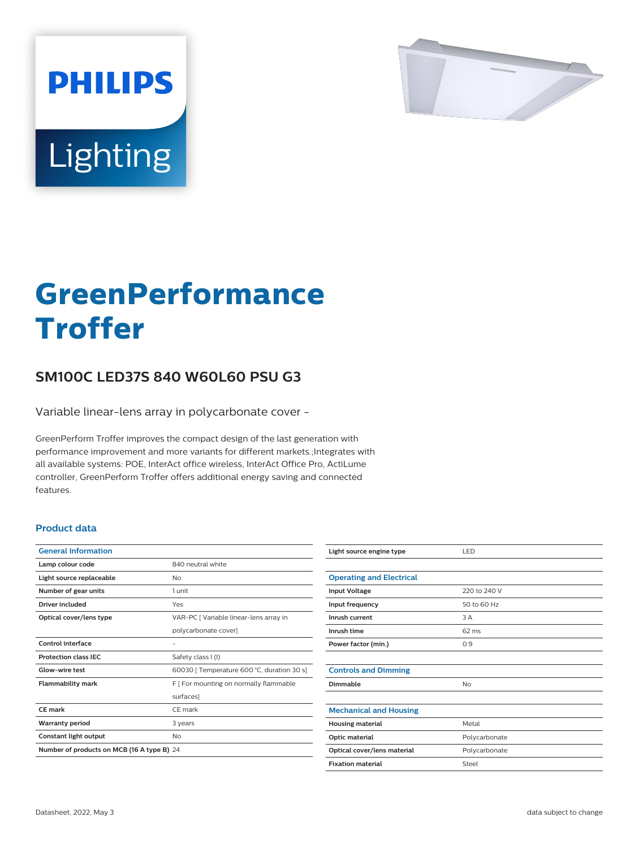

# Lighting

**PHILIPS** 

# **GreenPerformance Troffer**

## **SM100C LED37S 840 W60L60 PSU G3**

Variable linear-lens array in polycarbonate cover -

GreenPerform Troffer improves the compact design of the last generation with performance improvement and more variants for different markets.;Integrates with all available systems: POE, InterAct office wireless, InterAct Office Pro, ActiLume controller, GreenPerform Troffer offers additional energy saving and connected features.

#### **Product data**

| <b>General Information</b>                 |                                            |  |
|--------------------------------------------|--------------------------------------------|--|
| Lamp colour code                           | 840 neutral white                          |  |
| Light source replaceable                   | Nο                                         |  |
| Number of gear units                       | 1 unit                                     |  |
| Driver included                            | Yes                                        |  |
| Optical cover/lens type                    | VAR-PC [ Variable linear-lens array in     |  |
|                                            | polycarbonate cover]                       |  |
| Control interface                          |                                            |  |
| <b>Protection class IEC</b>                | Safety class I (I)                         |  |
| Glow-wire test                             | 60030 [ Temperature 600 °C, duration 30 s] |  |
| <b>Flammability mark</b>                   | F   For mounting on normally flammable     |  |
|                                            | surfaces]                                  |  |
| CE mark                                    | CE mark                                    |  |
| <b>Warranty period</b>                     | 3 years                                    |  |
| Constant light output                      | No                                         |  |
| Number of products on MCB (16 A type B) 24 |                                            |  |

| Light source engine type        | LED             |
|---------------------------------|-----------------|
|                                 |                 |
| <b>Operating and Electrical</b> |                 |
| <b>Input Voltage</b>            | 220 to 240 V    |
| Input frequency                 | 50 to 60 Hz     |
| Inrush current                  | 3 A             |
| Inrush time                     | $62 \text{ ms}$ |
| Power factor (min.)             | 0.9             |
|                                 |                 |
| <b>Controls and Dimming</b>     |                 |
| Dimmable                        | No              |
|                                 |                 |
| <b>Mechanical and Housing</b>   |                 |
| <b>Housing material</b>         | Metal           |
| Optic material                  | Polycarbonate   |
| Optical cover/lens material     | Polycarbonate   |
| <b>Fixation material</b>        | Steel           |
|                                 |                 |